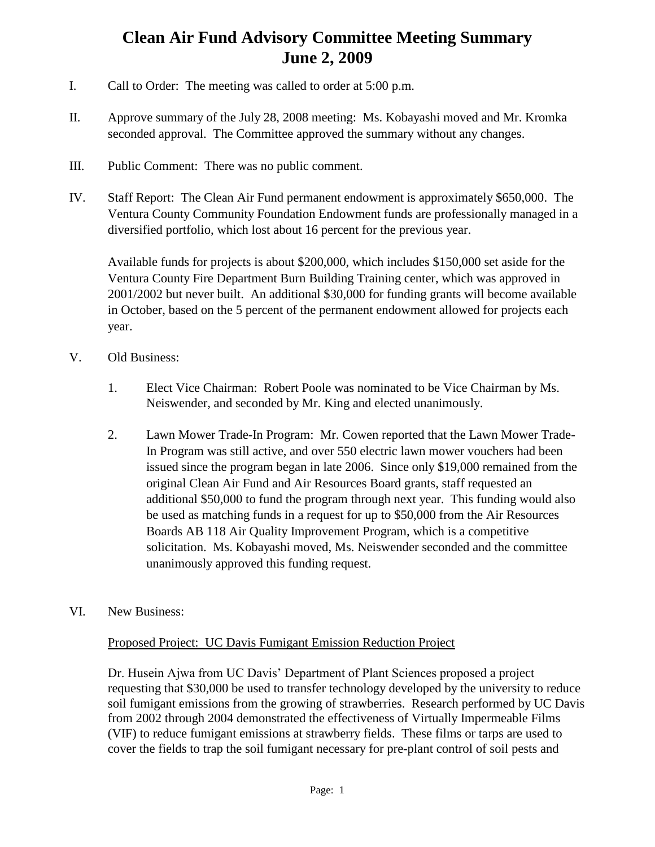## **Clean Air Fund Advisory Committee Meeting Summary June 2, 2009**

- I. Call to Order: The meeting was called to order at 5:00 p.m.
- II. Approve summary of the July 28, 2008 meeting: Ms. Kobayashi moved and Mr. Kromka seconded approval. The Committee approved the summary without any changes.
- III. Public Comment: There was no public comment.
- IV. Staff Report: The Clean Air Fund permanent endowment is approximately \$650,000. The Ventura County Community Foundation Endowment funds are professionally managed in a diversified portfolio, which lost about 16 percent for the previous year.

Available funds for projects is about \$200,000, which includes \$150,000 set aside for the Ventura County Fire Department Burn Building Training center, which was approved in 2001/2002 but never built. An additional \$30,000 for funding grants will become available in October, based on the 5 percent of the permanent endowment allowed for projects each year.

- V. Old Business:
	- 1. Elect Vice Chairman: Robert Poole was nominated to be Vice Chairman by Ms. Neiswender, and seconded by Mr. King and elected unanimously.
	- 2. Lawn Mower Trade-In Program: Mr. Cowen reported that the Lawn Mower Trade-In Program was still active, and over 550 electric lawn mower vouchers had been issued since the program began in late 2006. Since only \$19,000 remained from the original Clean Air Fund and Air Resources Board grants, staff requested an additional \$50,000 to fund the program through next year. This funding would also be used as matching funds in a request for up to \$50,000 from the Air Resources Boards AB 118 Air Quality Improvement Program, which is a competitive solicitation. Ms. Kobayashi moved, Ms. Neiswender seconded and the committee unanimously approved this funding request.
- VI. New Business:

## Proposed Project: UC Davis Fumigant Emission Reduction Project

Dr. Husein Ajwa from UC Davis' Department of Plant Sciences proposed a project requesting that \$30,000 be used to transfer technology developed by the university to reduce soil fumigant emissions from the growing of strawberries. Research performed by UC Davis from 2002 through 2004 demonstrated the effectiveness of Virtually Impermeable Films (VIF) to reduce fumigant emissions at strawberry fields. These films or tarps are used to cover the fields to trap the soil fumigant necessary for pre-plant control of soil pests and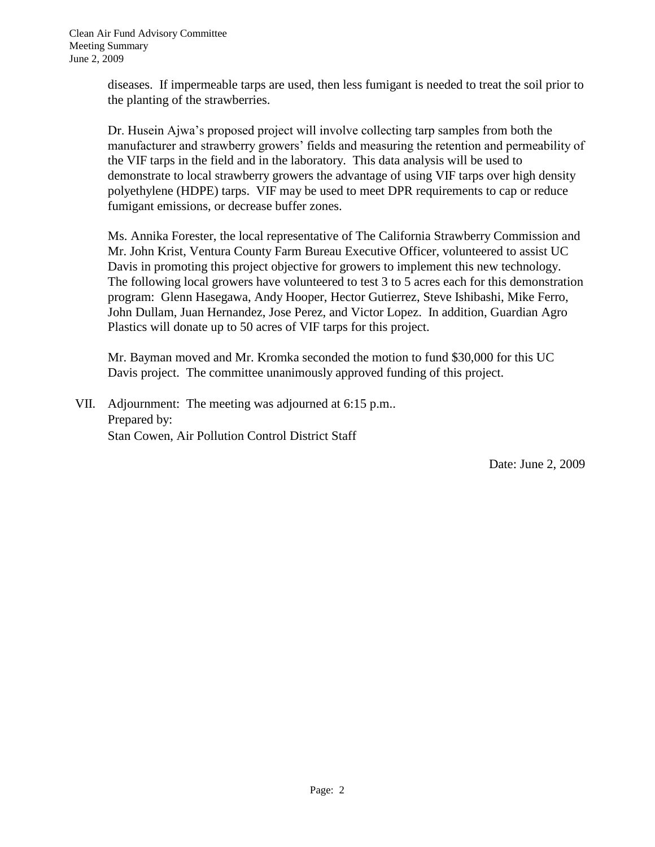diseases. If impermeable tarps are used, then less fumigant is needed to treat the soil prior to the planting of the strawberries.

Dr. Husein Ajwa's proposed project will involve collecting tarp samples from both the manufacturer and strawberry growers' fields and measuring the retention and permeability of the VIF tarps in the field and in the laboratory. This data analysis will be used to demonstrate to local strawberry growers the advantage of using VIF tarps over high density polyethylene (HDPE) tarps. VIF may be used to meet DPR requirements to cap or reduce fumigant emissions, or decrease buffer zones.

Ms. Annika Forester, the local representative of The California Strawberry Commission and Mr. John Krist, Ventura County Farm Bureau Executive Officer, volunteered to assist UC Davis in promoting this project objective for growers to implement this new technology. The following local growers have volunteered to test 3 to 5 acres each for this demonstration program: Glenn Hasegawa, Andy Hooper, Hector Gutierrez, Steve Ishibashi, Mike Ferro, John Dullam, Juan Hernandez, Jose Perez, and Victor Lopez. In addition, Guardian Agro Plastics will donate up to 50 acres of VIF tarps for this project.

Mr. Bayman moved and Mr. Kromka seconded the motion to fund \$30,000 for this UC Davis project. The committee unanimously approved funding of this project.

VII. Adjournment: The meeting was adjourned at 6:15 p.m.. Prepared by: Stan Cowen, Air Pollution Control District Staff

Date: June 2, 2009